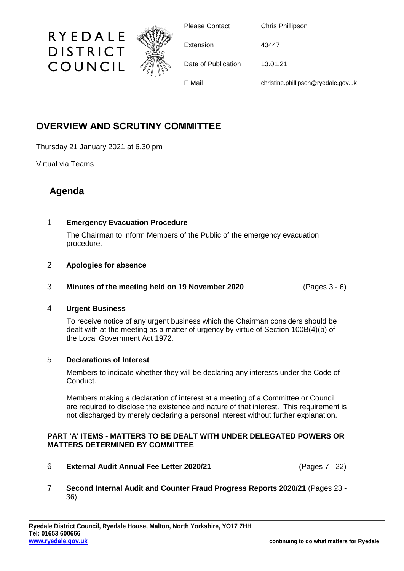

# **OVERVIEW AND SCRUTINY COMMITTEE**

Thursday 21 January 2021 at 6.30 pm

Virtual via Teams

# **Agenda**

# 1 **Emergency Evacuation Procedure**

The Chairman to inform Members of the Public of the emergency evacuation procedure.

# 2 **Apologies for absence**

#### 3 **Minutes of the meeting held on 19 November 2020** (Pages 3 - 6)

# 4 **Urgent Business**

To receive notice of any urgent business which the Chairman considers should be dealt with at the meeting as a matter of urgency by virtue of Section 100B(4)(b) of the Local Government Act 1972.

# 5 **Declarations of Interest**

Members to indicate whether they will be declaring any interests under the Code of Conduct.

Members making a declaration of interest at a meeting of a Committee or Council are required to disclose the existence and nature of that interest. This requirement is not discharged by merely declaring a personal interest without further explanation.

# **PART 'A' ITEMS - MATTERS TO BE DEALT WITH UNDER DELEGATED POWERS OR MATTERS DETERMINED BY COMMITTEE**

- 6 **External Audit Annual Fee Letter 2020/21** (Pages 7 22)
- 7 **Second Internal Audit and Counter Fraud Progress Reports 2020/21** (Pages 23 36)